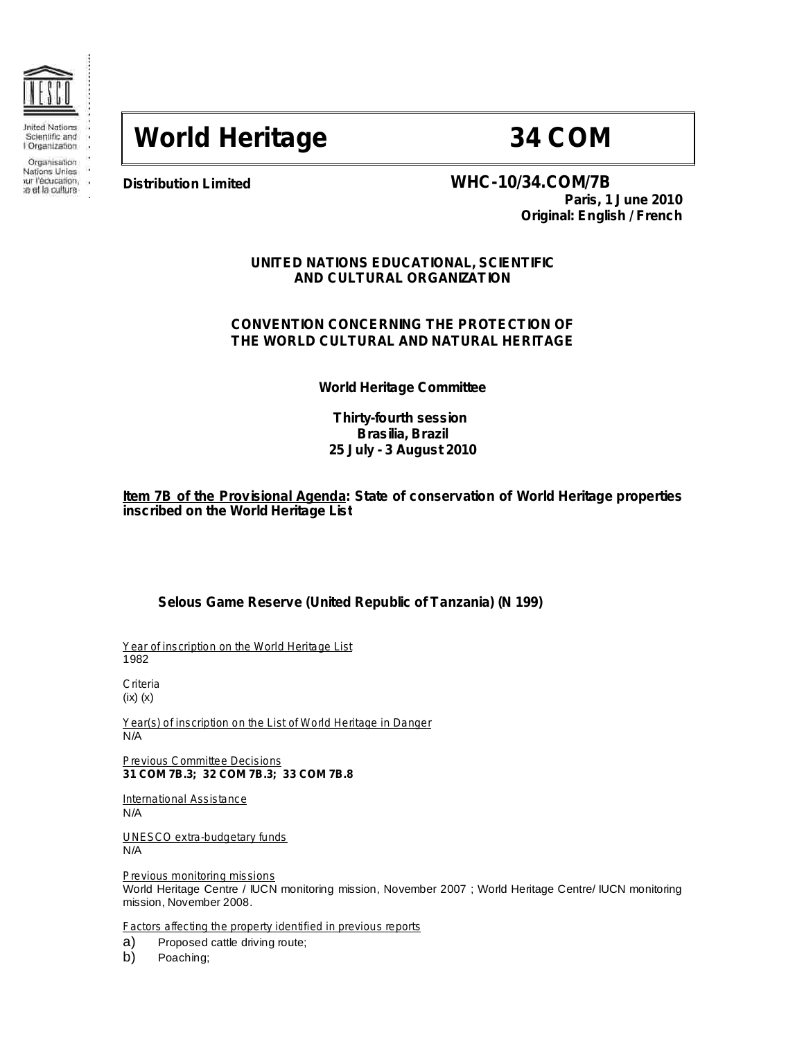

Organisation

Nations Unies rur l'éducation. a et la culture

ίú,

## **World Heritage 34 COM**

## **Distribution Limited WHC-10/34.COM/7B**

**Paris, 1 June 2010 Original: English / French**

## **UNITED NATIONS EDUCATIONAL, SCIENTIFIC AND CULTURAL ORGANIZATION**

## **CONVENTION CONCERNING THE PROTECTION OF THE WORLD CULTURAL AND NATURAL HERITAGE**

**World Heritage Committee**

## **Thirty-fourth session Brasilia, Brazil 25 July - 3 August 2010**

**Item 7B of the Provisional Agenda: State of conservation of World Heritage properties inscribed on the World Heritage List**

## **Selous Game Reserve (United Republic of Tanzania) (N 199)**

*Year of inscription on the World Heritage List* 1982

*Criteria* (ix) (x)

*Year(s) of inscription on the List of World Heritage in Danger* N/A

**31 COM 7B.3; 32 COM 7B.3; 33 COM 7B.8** *Previous Committee Decisions*

*International Assistance* N/A

*UNESCO extra-budgetary funds* N/A

*Previous monitoring missions* World Heritage Centre / IUCN monitoring mission, November 2007 ; World Heritage Centre/ IUCN monitoring mission, November 2008.

*Factors affecting the property identified in previous reports*

a) Proposed cattle driving route;

b) Poaching;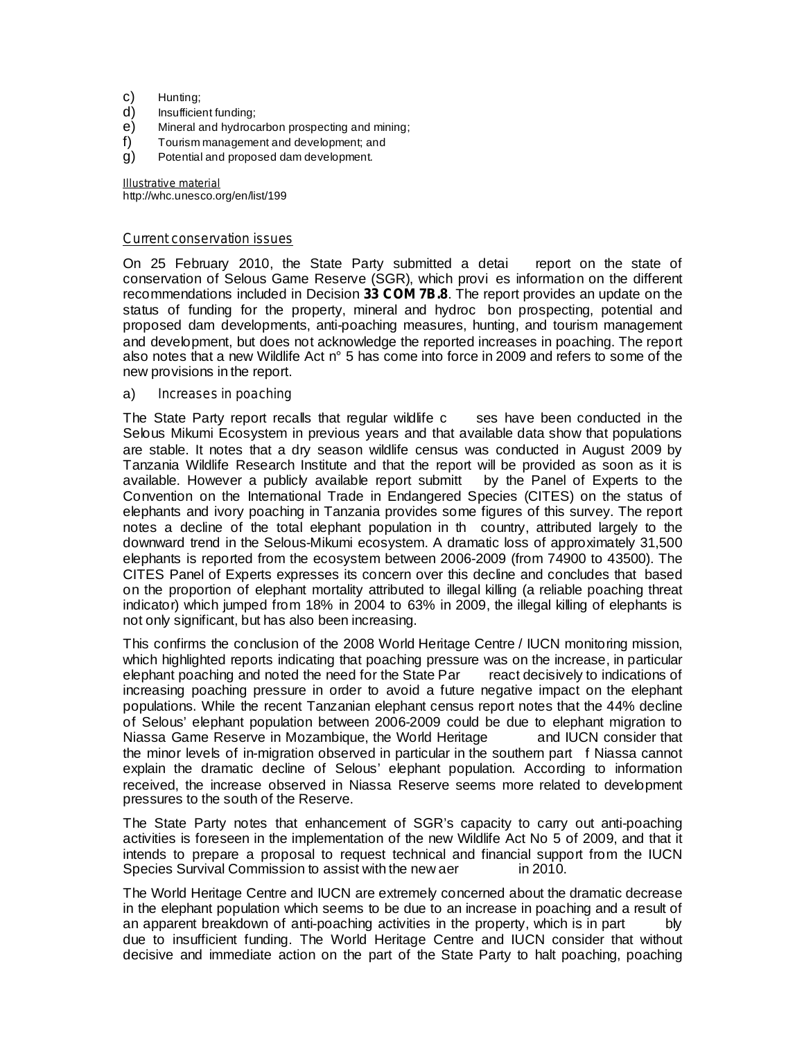- c) Hunting;
- d) Insufficient funding;
- e) Mineral and hydrocarbon prospecting and mining;
- f) Tourism management and development; and
- g) Potential and proposed dam development.

http://whc.unesco.org/en/list/199 *Illustrative material*

### *Current conservation issues*

On 25 February 2010, the State Party submitted a detai report on the state of conservation of Selous Game Reserve (SGR), which provi es information on the different recommendations included in Decision 33 COM 7B.8. The report provides an update on the status of funding for the property, mineral and hydroc bon prospecting, potential and proposed dam developments, anti-poaching measures, hunting, and tourism management and development, but does not acknowledge the reported increases in poaching. The report also notes that a new Wildlife Act n° 5 has come into force in 2009 and refers to some of the new provisions in the report.

#### a) *Increases in poaching*

The State Party report recalls that regular wildlife c ses have been conducted in the Selous Mikumi Ecosystem in previous years and that available data show that populations are stable. It notes that a dry season wildlife census was conducted in August 2009 by Tanzania Wildlife Research Institute and that the report will be provided as soon as it is available. However a publicly available report submitt by the Panel of Experts to the Convention on the International Trade in Endangered Species (CITES) on the status of elephants and ivory poaching in Tanzania provides some figures of this survey. The report notes a decline of the total elephant population in th country, attributed largely to the downward trend in the Selous-Mikumi ecosystem. A dramatic loss of approximately 31,500 elephants is reported from the ecosystem between 2006-2009 (from 74900 to 43500). The CITES Panel of Experts expresses its concern over this decline and concludes that based on the proportion of elephant mortality attributed to illegal killing (a reliable poaching threat indicator) which jumped from 18% in 2004 to 63% in 2009, the illegal killing of elephants is not only significant, but has also been increasing.

This confirms the conclusion of the 2008 World Heritage Centre / IUCN monitoring mission, which highlighted reports indicating that poaching pressure was on the increase, in particular elephant poaching and noted the need for the State Par react decisively to indications of increasing poaching pressure in order to avoid a future negative impact on the elephant populations. While the recent Tanzanian elephant census report notes that the 44% decline of Selous' elephant population between 2006-2009 could be due to elephant migration to Niassa Game Reserve in Mozambique, the World Heritage and IUCN consider that the minor levels of in-migration observed in particular in the southern part f Niassa cannot explain the dramatic decline of Selous' elephant population. According to information received, the increase observed in Niassa Reserve seems more related to development pressures to the south of the Reserve.

The State Party notes that enhancement of SGR's capacity to carry out anti-poaching activities is foreseen in the implementation of the new Wildlife Act No 5 of 2009, and that it intends to prepare a proposal to request technical and financial support from the IUCN Species Survival Commission to assist with the new aer in 2010.

The World Heritage Centre and IUCN are extremely concerned about the dramatic decrease in the elephant population which seems to be due to an increase in poaching and a result of an apparent breakdown of anti-poaching activities in the property, which is in part bly due to insufficient funding. The World Heritage Centre and IUCN consider that without decisive and immediate action on the part of the State Party to halt poaching, poaching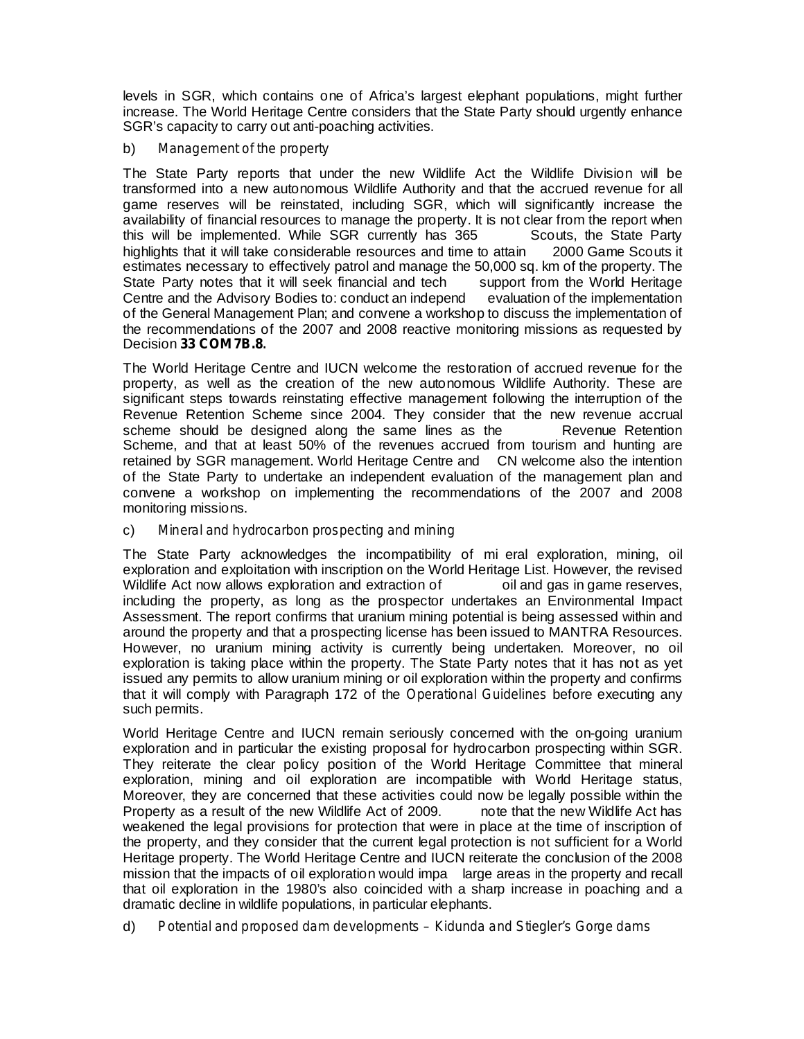levels in SGR, which contains one of Africa's largest elephant populations, might further increase. The World Heritage Centre considers that the State Party should urgently enhance SGR's capacity to carry out anti-poaching activities.

#### b) *Management of the property*

The State Party reports that under the new Wildlife Act the Wildlife Division will be transformed into a new autonomous Wildlife Authority and that the accrued revenue for all game reserves will be reinstated, including SGR, which will significantly increase the availability of financial resources to manage the property. It is not clear from the report when this will be implemented. While SGR currently has 365 Scouts, the State Party highlights that it will take considerable resources and time to attain 2000 Game Scouts it estimates necessary to effectively patrol and manage the 50,000 sq. km of the property. The State Party notes that it will seek financial and tech support from the World Heritage Centre and the Advisory Bodies to: conduct an independ evaluation of the implementation of the General Management Plan; and convene a workshop to discuss the implementation of the recommendations of the 2007 and 2008 reactive monitoring missions as requested by Decision **33 COM 7B.8.**

The World Heritage Centre and IUCN welcome the restoration of accrued revenue for the property, as well as the creation of the new autonomous Wildlife Authority. These are significant steps towards reinstating effective management following the interruption of the Revenue Retention Scheme since 2004. They consider that the new revenue accrual scheme should be designed along the same lines as the Revenue Retention Scheme, and that at least 50% of the revenues accrued from tourism and hunting are retained by SGR management. World Heritage Centre and CN welcome also the intention of the State Party to undertake an independent evaluation of the management plan and convene a workshop on implementing the recommendations of the 2007 and 2008 monitoring missions.

### c) *Mineral and hydrocarbon prospecting and mining*

The State Party acknowledges the incompatibility of mi eral exploration, mining, oil exploration and exploitation with inscription on the World Heritage List. However, the revised Wildlife Act now allows exploration and extraction of oil and gas in game reserves, including the property, as long as the prospector undertakes an Environmental Impact Assessment. The report confirms that uranium mining potential is being assessed within and around the property and that a prospecting license has been issued to MANTRA Resources. However, no uranium mining activity is currently being undertaken. Moreover, no oil exploration is taking place within the property. The State Party notes that it has not as yet issued any permits to allow uranium mining or oil exploration within the property and confirms that it will comply with Paragraph 172 of the *Operational Guidelines* before executing any such permits.

World Heritage Centre and IUCN remain seriously concerned with the on-going uranium exploration and in particular the existing proposal for hydrocarbon prospecting within SGR. They reiterate the clear policy position of the World Heritage Committee that mineral exploration, mining and oil exploration are incompatible with World Heritage status, Moreover, they are concerned that these activities could now be legally possible within the Property as a result of the new Wildlife Act of 2009. The new Wildlife Act has weakened the legal provisions for protection that were in place at the time of inscription of the property, and they consider that the current legal protection is not sufficient for a World Heritage property. The World Heritage Centre and IUCN reiterate the conclusion of the 2008 mission that the impacts of oil exploration would impa large areas in the property and recall that oil exploration in the 1980's also coincided with a sharp increase in poaching and a dramatic decline in wildlife populations, in particular elephants.

d) *Potential and proposed dam developments – Kidunda and Stiegler's Gorge dams*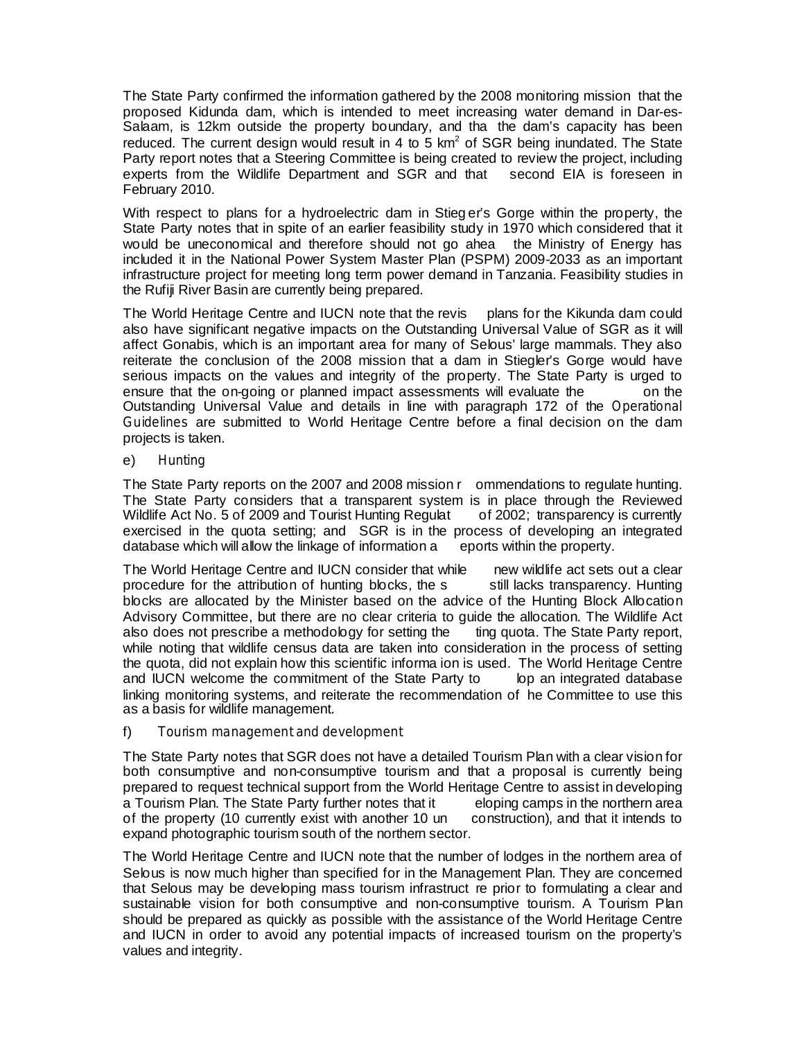The State Party confirmed the information gathered by the 2008 monitoring mission that the proposed Kidunda dam, which is intended to meet increasing water demand in Dar-es-Salaam, is 12km outside the property boundary, and tha the dam's capacity has been reduced. The current design would result in 4 to 5 km<sup>2</sup> of SGR being inundated. The State Party report notes that a Steering Committee is being created to review the project, including experts from the Wildlife Department and SGR and that second EIA is foreseen in February 2010.

With respect to plans for a hydroelectric dam in Stieg er's Gorge within the property, the State Party notes that in spite of an earlier feasibility study in 1970 which considered that it would be uneconomical and therefore should not go ahea the Ministry of Energy has included it in the National Power System Master Plan (PSPM) 2009-2033 as an important infrastructure project for meeting long term power demand in Tanzania. Feasibility studies in the Rufiji River Basin are currently being prepared.

The World Heritage Centre and IUCN note that the revis plans for the Kikunda dam could also have significant negative impacts on the Outstanding Universal Value of SGR as it will affect Gonabis, which is an important area for many of Selous' large mammals. They also reiterate the conclusion of the 2008 mission that a dam in Stiegler's Gorge would have serious impacts on the values and integrity of the property. The State Party is urged to ensure that the on-going or planned impact assessments will evaluate the on the Outstanding Universal Value and details in line with paragraph 172 of the *Operational* Guidelines are submitted to World Heritage Centre before a final decision on the dam projects is taken.

e) *Hunting*

The State Party reports on the 2007 and 2008 mission r ommendations to regulate hunting. The State Party considers that a transparent system is in place through the Reviewed Wildlife Act No. 5 of 2009 and Tourist Hunting Regulat of 2002; transparency is currently exercised in the quota setting; and SGR is in the process of developing an integrated database which will allow the linkage of information a eports within the property.

The World Heritage Centre and IUCN consider that while new wildlife act sets out a clear procedure for the attribution of hunting blocks, the s still lacks transparency. Hunting blocks are allocated by the Minister based on the advice of the Hunting Block Allocation Advisory Committee, but there are no clear criteria to guide the allocation. The Wildlife Act also does not prescribe a methodology for setting the ting quota. The State Party report, while noting that wildlife census data are taken into consideration in the process of setting the quota, did not explain how this scientific informa ion is used. The World Heritage Centre and IUCN welcome the commitment of the State Party to lop an integrated database linking monitoring systems, and reiterate the recommendation of he Committee to use this as a basis for wildlife management.

### f) *Tourism management and development*

The State Party notes that SGR does not have a detailed Tourism Plan with a clear vision for both consumptive and non-consumptive tourism and that a proposal is currently being prepared to request technical support from the World Heritage Centre to assist in developing a Tourism Plan. The State Party further notes that it eloping camps in the northern area of the property (10 currently exist with another 10 un construction), and that it intends to expand photographic tourism south of the northern sector.

The World Heritage Centre and IUCN note that the number of lodges in the northern area of Selous is now much higher than specified for in the Management Plan. They are concerned that Selous may be developing mass tourism infrastruct re prior to formulating a clear and sustainable vision for both consumptive and non-consumptive tourism. A Tourism Plan should be prepared as quickly as possible with the assistance of the World Heritage Centre and IUCN in order to avoid any potential impacts of increased tourism on the property's values and integrity.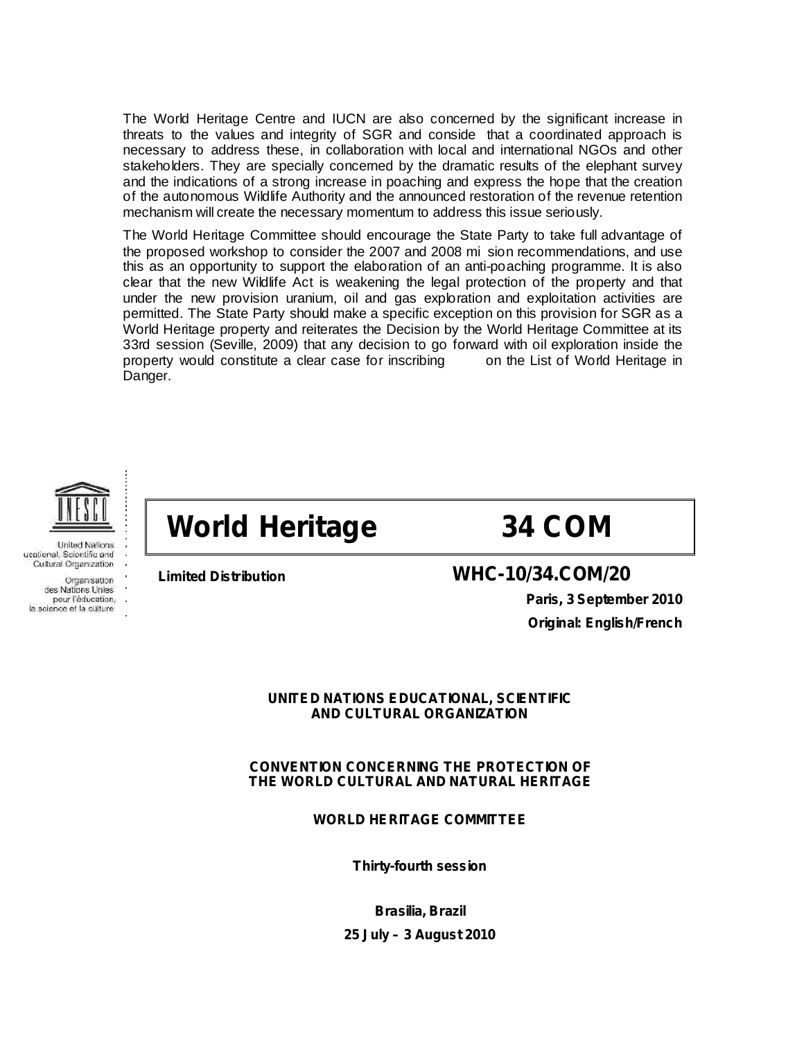The World Heritage Centre and IUCN are also concerned by the significant increase in threats to the values and integrity of SGR and conside that a coordinated approach is necessary to address these, in collaboration with local and international NGOs and other stakeholders. They are specially concerned by the dramatic results of the elephant survey and the indications of a strong increase in poaching and express the hope that the creation of the autonomous Wildlife Authority and the announced restoration of the revenue retention mechanism will create the necessary momentum to address this issue seriously.

The World Heritage Committee should encourage the State Party to take full advantage of the proposed workshop to consider the 2007 and 2008 mi sion recommendations, and use this as an opportunity to support the elaboration of an anti-poaching programme. It is also clear that the new Wildlife Act is weakening the legal protection of the property and that under the new provision uranium, oil and gas exploration and exploitation activities are permitted. The State Party should make a specific exception on this provision for SGR as a World Heritage property and reiterates the Decision by the World Heritage Committee at its 33rd session (Seville, 2009) that any decision to go forward with oil exploration inside the property would constitute a clear case for inscribing on the List of World Heritage in Danger.



**United Nations** ucational. Scientific and Cultural Organization Organisation des Nations Unies pour l'éducation, la solence et la culture

# **World Heritage 34 COM**



## **Limited Distribution WHC-10/34.COM/20**

**Paris, 3 September 2010 Original: English/French**

## **UNITED NATIONS EDUCATIONAL, SCIENTIFIC AND CULTURAL ORGANIZATION**

## **CONVENTION CONCERNING THE PROTECTION OF THE WORLD CULTURAL AND NATURAL HERITAGE**

**WORLD HERITAGE COMMITTEE**

**Thirty-fourth session**

**Brasilia, Brazil 25 July – 3 August 2010**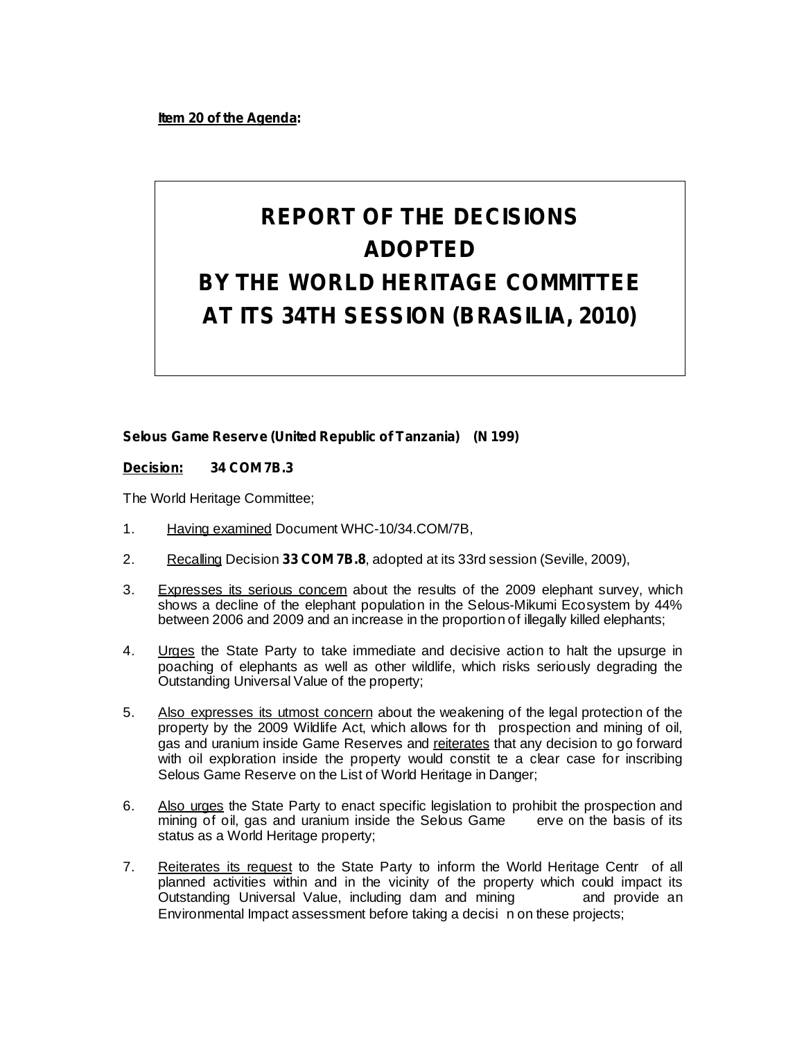**Item 20 of the Agenda:**

## **REPORT OF THE DECISIONS ADOPTED BY THE WORLD HERITAGE COMMITTEE AT ITS 34TH SESSION (BRASILIA, 2010)**

## **Selous Game Reserve (United Republic of Tanzania) (N 199)**

## **Decision: 34 COM 7B.3**

The World Heritage Committee;

- 1. Having examined Document WHC-10/34.COM/7B,
- 2. Recalling Decision 33 COM 7B.8, adopted at its 33rd session (Seville, 2009),
- 3. Expresses its serious concem about the results of the 2009 elephant survey, which shows a decline of the elephant population in the Selous-Mikumi Ecosystem by 44% between 2006 and 2009 and an increase in the proportion of illegally killed elephants;
- 4. Urges the State Party to take immediate and decisive action to halt the upsurge in poaching of elephants as well as other wildlife, which risks seriously degrading the Outstanding Universal Value of the property;
- 5. Also expresses its utmost concern about the weakening of the legal protection of the property by the 2009 Wildlife Act, which allows for th prospection and mining of oil, gas and uranium inside Game Reserves and reiterates that any decision to go forward with oil exploration inside the property would constit te a clear case for inscribing Selous Game Reserve on the List of World Heritage in Danger;
- 6. Also urges the State Party to enact specific legislation to prohibit the prospection and mining of oil, gas and uranium inside the Selous Game erve on the basis of its status as a World Heritage property;
- 7. Reiterates its request to the State Party to inform the World Heritage Centr of all planned activities within and in the vicinity of the property which could impact its Outstanding Universal Value, including dam and mining and provide an Environmental Impact assessment before taking a decisi n on these projects;